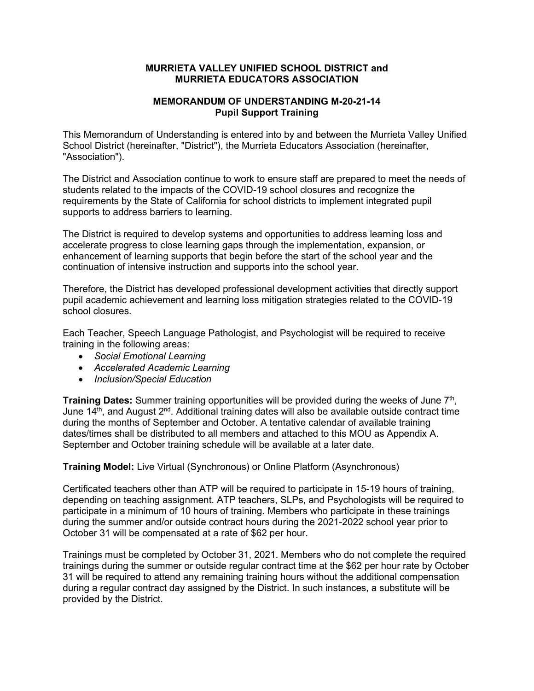## **MURRIETA VALLEY UNIFIED SCHOOL DISTRICT and MURRIETA EDUCATORS ASSOCIATION**

## **MEMORANDUM OF UNDERSTANDING M-20-21-14 Pupil Support Training**

This Memorandum of Understanding is entered into by and between the Murrieta Valley Unified School District (hereinafter, "District"), the Murrieta Educators Association (hereinafter, "Association").

The District and Association continue to work to ensure staff are prepared to meet the needs of students related to the impacts of the COVID-19 school closures and recognize the requirements by the State of California for school districts to implement integrated pupil supports to address barriers to learning.

The District is required to develop systems and opportunities to address learning loss and accelerate progress to close learning gaps through the implementation, expansion, or enhancement of learning supports that begin before the start of the school year and the continuation of intensive instruction and supports into the school year.

Therefore, the District has developed professional development activities that directly support pupil academic achievement and learning loss mitigation strategies related to the COVID-19 school closures.

Each Teacher, Speech Language Pathologist, and Psychologist will be required to receive training in the following areas:

- *Social Emotional Learning*
- *Accelerated Academic Learning*
- *Inclusion/Special Education*

**Training Dates:** Summer training opportunities will be provided during the weeks of June 7th, June  $14<sup>th</sup>$ , and August  $2<sup>nd</sup>$ . Additional training dates will also be available outside contract time during the months of September and October. A tentative calendar of available training dates/times shall be distributed to all members and attached to this MOU as Appendix A. September and October training schedule will be available at a later date.

**Training Model:** Live Virtual (Synchronous) or Online Platform (Asynchronous)

Certificated teachers other than ATP will be required to participate in 15-19 hours of training, depending on teaching assignment. ATP teachers, SLPs, and Psychologists will be required to participate in a minimum of 10 hours of training. Members who participate in these trainings during the summer and/or outside contract hours during the 2021-2022 school year prior to October 31 will be compensated at a rate of \$62 per hour.

Trainings must be completed by October 31, 2021. Members who do not complete the required trainings during the summer or outside regular contract time at the \$62 per hour rate by October 31 will be required to attend any remaining training hours without the additional compensation during a regular contract day assigned by the District. In such instances, a substitute will be provided by the District.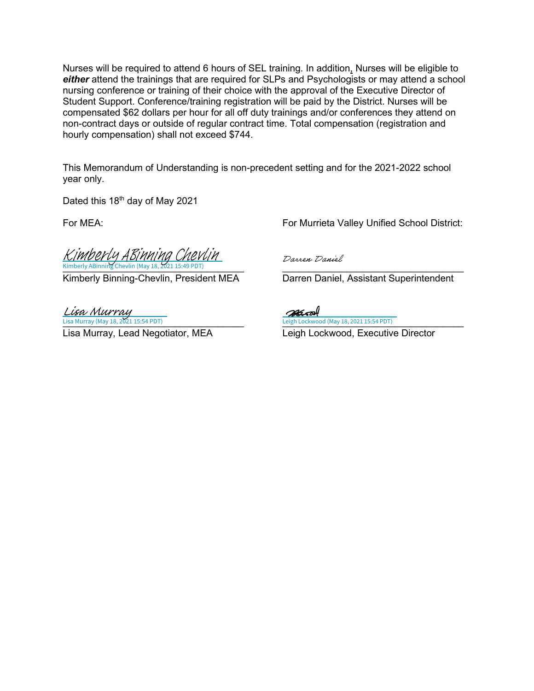Nurses will be required to attend 6 hours of SEL training. In addition, Nurses will be eligible to *either* attend the trainings that are required for SLPs and Psychologists or may attend a school nursing conference or training of their choice with the approval of the Executive Director of Student Support. Conference/training registration will be paid by the District. Nurses will be compensated \$62 dollars per hour for all off duty trainings and/or conferences they attend on non-contract days or outside of regular contract time. Total compensation (registration and hourly compensation) shall not exceed \$744.

This Memorandum of Understanding is non-precedent setting and for the 2021-2022 school year only.

Dated this 18<sup>th</sup> day of May 2021

Kimberly ABinning Chevlin (May 18, 2021 15:49 PDT)  $\qquad \qquad$ Kimberly ABinning Chevlin (May 18, 2021 15:49 PDT) Kimberly ABinning Chevlin

Kimberly Binning-Chevlin, President MEA Darren Daniel, Assistant Superintendent

Lisa Murray (May 18, 2021 15:54 PDT) Lisa Murray Leigh Lockwood (May 18, 2021 15:54 PDT)

Lisa Murray, Lead Negotiator, MEA Leigh Lockwood, Executive Director

For MEA: For Murrieta Valley Unified School District:

Darren Daniel

Leigh Lockwood (May 18, 2021 15:54 PDT)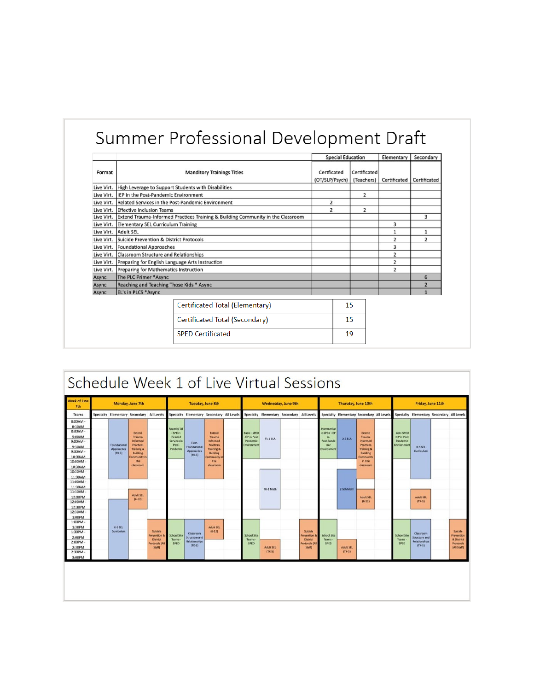## Summer Professional Development Draft

|            |                                                 |                                                                                 | <b>Special Education</b>      |                            | Elementary     | Secondary      |  |
|------------|-------------------------------------------------|---------------------------------------------------------------------------------|-------------------------------|----------------------------|----------------|----------------|--|
| Format     |                                                 | <b>Manditory Trainings Titles</b>                                               | Certficated<br>(OT/SLP/Psych) | Certificated<br>(Teachers) | Certificated   | Certificated   |  |
| Live Virt. |                                                 | High Leverage to Support Students with Disabilities                             |                               |                            |                |                |  |
| Live Virt. | IEP in the Post-Pandemic Environment            |                                                                                 |                               | $\overline{2}$             |                |                |  |
| Live Virt. |                                                 | Related Services in the Post-Pandemic Environment                               | $\overline{2}$                |                            |                |                |  |
| Live Virt. | <b>Effective Inclusion Teams</b>                |                                                                                 | $\overline{2}$                | $\overline{2}$             |                |                |  |
| Live Virt. |                                                 | Extend Trauma-Informed Practices Training & Building Community in the Classroom |                               |                            |                | 3              |  |
| Live Virt. | <b>Elementary SEL Curriculum Training</b>       |                                                                                 |                               |                            | 3              |                |  |
| Live Virt. | Adult SEL                                       |                                                                                 |                               |                            | $\mathbf{1}$   | $\mathbf{1}$   |  |
| Live Virt. | Suicide Prevention & District Protocols         |                                                                                 |                               |                            | $\overline{2}$ | $\overline{2}$ |  |
| Live Virt. | <b>Foundational Approaches</b>                  |                                                                                 |                               |                            | 3              |                |  |
| Live Virt. | <b>Classroom Structure and Relationships</b>    |                                                                                 |                               |                            | $\overline{2}$ |                |  |
| Live Virt. | Preparing for English Language Arts Instruction |                                                                                 |                               |                            | 2              |                |  |
| Live Virt. | <b>Preparing for Mathematics Instruction</b>    |                                                                                 |                               |                            | $\overline{2}$ |                |  |
| Async      | The PLC Primer *Async                           |                                                                                 |                               |                            |                | 6              |  |
| Async      | Reaching and Teaching Those Kids * Async        |                                                                                 |                               |                            |                | $\overline{2}$ |  |
| Async      | EL's in PLCS *Async                             |                                                                                 |                               |                            |                |                |  |
|            |                                                 | Certificated Total (Elementary)                                                 |                               | 15                         |                |                |  |
|            |                                                 | Certificated Total (Secondary)                                                  |                               | 15                         |                |                |  |
|            |                                                 | <b>SPED Certificated</b>                                                        |                               | 19                         |                |                |  |

|                                                                                             | Schedule Week 1 of Live Virtual Sessions |                                           |                                                                                                                  |                                                                                   |                                                                          |                                                                |                                                                                                             |  |                                                                 |                                           |                                                                           |  |                                                                      |                                           |                                                                                                           |                                            |                                                            |                                                                       |  |                                                                        |
|---------------------------------------------------------------------------------------------|------------------------------------------|-------------------------------------------|------------------------------------------------------------------------------------------------------------------|-----------------------------------------------------------------------------------|--------------------------------------------------------------------------|----------------------------------------------------------------|-------------------------------------------------------------------------------------------------------------|--|-----------------------------------------------------------------|-------------------------------------------|---------------------------------------------------------------------------|--|----------------------------------------------------------------------|-------------------------------------------|-----------------------------------------------------------------------------------------------------------|--------------------------------------------|------------------------------------------------------------|-----------------------------------------------------------------------|--|------------------------------------------------------------------------|
| Week of June<br>7th                                                                         | Monday, June 7th                         |                                           |                                                                                                                  | <b>Tuesday, June 8th</b>                                                          |                                                                          |                                                                | Wednesday, June 9th                                                                                         |  |                                                                 | Thursday, June 10th                       |                                                                           |  |                                                                      | Friday, June 11th                         |                                                                                                           |                                            |                                                            |                                                                       |  |                                                                        |
| Teams                                                                                       |                                          | Specialty Elementary Secondary All Levels |                                                                                                                  |                                                                                   |                                                                          | Specialty Elementary Secondary All Levels                      |                                                                                                             |  |                                                                 | Specialty Elementary Secondary All Levels |                                                                           |  |                                                                      | Specialty Elementary Secondary All Levels |                                                                                                           |                                            |                                                            | Specialty Elementary Secondary All Levels                             |  |                                                                        |
| 8:00AM -<br>8:30AM<br>$8:30AM -$<br>9:00AM<br>$9:00AM -$<br>9:30AM<br>$9:30AM -$<br>10:00AM |                                          | Foundational<br>Approaches<br>$(TK-5)$    | Extend<br>Trauma<br><b>Informed</b><br><b>Practices</b><br><b>Training &amp;</b><br><b>Building</b><br>Community |                                                                                   | Speech/OT<br>SPED-<br><b>Related</b><br>Services in<br>Post-<br>Pandemic | Elem.<br>Foundational<br><b>Approaches</b><br>$(TK-5)$         | Extend<br>Trauma<br>Informed<br><b>Practices</b><br><b>Training &amp;</b><br><b>Building</b><br>Community i |  | <b>Basic - SPED</b><br>-IEP in Post-<br>Pandemic<br>Environment | Tk-1 ELA                                  |                                                                           |  | Intermediat<br>e-SPED-IEP<br>in.<br>Post-Pande<br>mic<br>Environment | $2-5$ ELA                                 | Extend<br>Trauma<br>Informed<br><b>Practices</b><br><b>Training &amp;</b><br><b>Building</b><br>Community |                                            | Adv-SPED<br><b>IEP in Post-</b><br>Pandemic<br>Environment | K-5 SEL<br>Curriculum                                                 |  |                                                                        |
| 10:00AM<br>10:30AM<br>10:30AM -<br>11:00AM<br>11:00AM -<br>11:30AM<br>11:30AM               |                                          |                                           | The<br>classroom<br><b>Adult SEL</b>                                                                             |                                                                                   |                                                                          |                                                                | The:<br>classroom                                                                                           |  |                                                                 | TK-1 Math                                 |                                                                           |  |                                                                      | 2-5th Math                                | in The<br>classroom                                                                                       |                                            |                                                            |                                                                       |  |                                                                        |
| 12:00PM<br>12:00AM -<br>12:30PM<br>12:30AM<br>1:00PM<br>$1:00PM$ -<br>1:30PM                |                                          | K-5 SEL                                   | $(6-12)$                                                                                                         |                                                                                   |                                                                          |                                                                | Adult SEL                                                                                                   |  |                                                                 |                                           |                                                                           |  |                                                                      |                                           | <b>Adult SEL</b><br>(6.12)                                                                                |                                            |                                                            | <b>Adult SEL</b><br>$(TK-5)$                                          |  |                                                                        |
| $1:30PM -$<br>2:00PM<br>$2:00PM -$<br>2:30PM<br>$2:30PM -$<br>3:00PM                        |                                          | Curriculum                                |                                                                                                                  | Suicide<br><b>Prevention</b><br><b>District</b><br><b>Protocols (A)</b><br>Staff) | <b>School Site</b><br><b>Teams</b><br>SPED                               | Classroom<br><b>Structure and</b><br>Relationships<br>$(TK-5)$ | $(6-12)$                                                                                                    |  | <b>School Site</b><br><b>Teams</b><br><b>SPED</b>               | <b>Adult SEL</b><br>$(TK-S)$              | Suicide<br>Prevention<br><b>District</b><br><b>Protocols (A</b><br>Staff) |  | <b>School Site</b><br><b>Teams</b><br>SPED                           | <b>Adult SEL</b><br>$(TK-S)$              |                                                                                                           | <b>School Site</b><br><b>Teams</b><br>SPED |                                                            | <b>Classroom</b><br><b>Structure and</b><br>Relationships<br>$(TK-5)$ |  | Suicide<br>Prevention<br>& District<br><b>Protocols</b><br>(All Staff) |
|                                                                                             |                                          |                                           |                                                                                                                  |                                                                                   |                                                                          |                                                                |                                                                                                             |  |                                                                 |                                           |                                                                           |  |                                                                      |                                           |                                                                                                           |                                            |                                                            |                                                                       |  |                                                                        |